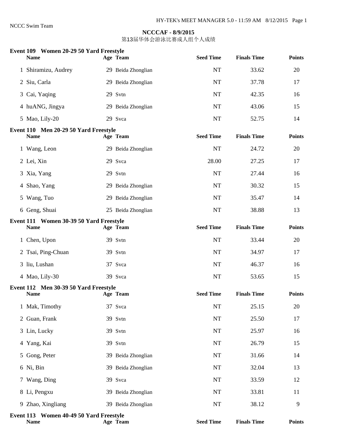| Event 109 Women 20-29 50 Yard Freestyle<br><b>Name</b> | Age Team           | <b>Seed Time</b> | <b>Finals Time</b> | <b>Points</b> |
|--------------------------------------------------------|--------------------|------------------|--------------------|---------------|
| 1 Shiramizu, Audrey                                    | 29 Beida Zhonglian | NT               | 33.62              | 20            |
| 2 Siu, Carla                                           | 29 Beida Zhonglian | <b>NT</b>        | 37.78              | 17            |
| 3 Cai, Yaqing                                          | 29 Svtn            | NT               | 42.35              | 16            |
| 4 huANG, Jingya                                        | 29 Beida Zhonglian | NT               | 43.06              | 15            |
| 5 Mao, Lily-20                                         | 29 Svca            | NT               | 52.75              | 14            |
| Event 110 Men 20-29 50 Yard Freestyle<br><b>Name</b>   | Age Team           | <b>Seed Time</b> | <b>Finals Time</b> | <b>Points</b> |
| 1 Wang, Leon                                           | 29 Beida Zhonglian | NT               | 24.72              | 20            |
| 2 Lei, Xin                                             | 29 Svca            | 28.00            | 27.25              | 17            |
| 3 Xia, Yang                                            | 29 Svtn            | <b>NT</b>        | 27.44              | 16            |
| 4 Shao, Yang                                           | 29 Beida Zhonglian | NT               | 30.32              | 15            |
| 5 Wang, Tuo                                            | 29 Beida Zhonglian | <b>NT</b>        | 35.47              | 14            |
| 6 Geng, Shuai                                          | 25 Beida Zhonglian | <b>NT</b>        | 38.88              | 13            |
| Event 111 Women 30-39 50 Yard Freestyle<br><b>Name</b> | Age Team           | <b>Seed Time</b> | <b>Finals Time</b> | <b>Points</b> |
| 1 Chen, Upon                                           | 39 Svtn            | NT               | 33.44              | 20            |
| 2 Tsai, Ping-Chuan                                     | 39 Svtn            | <b>NT</b>        | 34.97              | 17            |
| 3 liu, Lushan                                          | 37 Svca            | <b>NT</b>        | 46.37              | 16            |
| 4 Mao, Lily-30                                         | 39 Svca            | <b>NT</b>        | 53.65              | 15            |
| Event 112 Men 30-39 50 Yard Freestyle<br><b>Name</b>   | Age Team           | <b>Seed Time</b> | <b>Finals Time</b> | <b>Points</b> |
| 1 Mak, Timothy                                         | 37 Svca            | <b>NT</b>        | 25.15              | 20            |
| 2 Guan, Frank                                          | 39 Svtn            | $\rm{NT}$        | 25.50              | 17            |
| 3 Lin, Lucky                                           | 39 Svtn            | NT               | 25.97              | 16            |
| 4 Yang, Kai                                            | 39 Svtn            | NT               | 26.79              | 15            |
| 5 Gong, Peter                                          | 39 Beida Zhonglian | $\rm{NT}$        | 31.66              | 14            |
| 6 Ni, Bin                                              | 39 Beida Zhonglian | $\rm{NT}$        | 32.04              | 13            |
| 7 Wang, Ding                                           | 39 Svca            | <b>NT</b>        | 33.59              | 12            |
| 8 Li, Pengxu                                           | 39 Beida Zhonglian | NT               | 33.81              | 11            |
| 9 Zhao, Xingliang                                      | 39 Beida Zhonglian | NT               | 38.12              | 9             |
| Event 113 Women 40-49 50 Yard Freestyle<br><b>Name</b> | Age Team           | <b>Seed Time</b> | <b>Finals Time</b> | <b>Points</b> |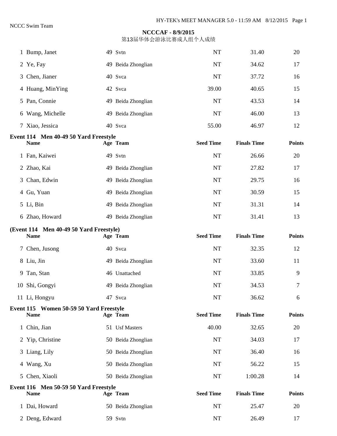|   | 1 Bump, Janet                                          | 49 Svtn            | <b>NT</b>        | 31.40              | 20            |
|---|--------------------------------------------------------|--------------------|------------------|--------------------|---------------|
|   | 2 Ye, Fay                                              | 49 Beida Zhonglian | NT               | 34.62              | 17            |
|   | 3 Chen, Jianer                                         | 40 Svca            | <b>NT</b>        | 37.72              | 16            |
|   | 4 Huang, MinYing                                       | 42 Svca            | 39.00            | 40.65              | 15            |
|   | 5 Pan, Connie                                          | 49 Beida Zhonglian | <b>NT</b>        | 43.53              | 14            |
|   | 6 Wang, Michelle                                       | 49 Beida Zhonglian | <b>NT</b>        | 46.00              | 13            |
|   | 7 Xiao, Jessica                                        | 40 Svca            | 55.00            | 46.97              | 12            |
|   | Event 114 Men 40-49 50 Yard Freestyle<br><b>Name</b>   | Age Team           | <b>Seed Time</b> | <b>Finals Time</b> | <b>Points</b> |
|   |                                                        |                    |                  |                    |               |
|   | 1 Fan, Kaiwei                                          | 49 Svtn            | NT               | 26.66              | 20            |
|   | 2 Zhao, Kai                                            | 49 Beida Zhonglian | NT               | 27.82              | 17            |
| 3 | Chan, Edwin                                            | 49 Beida Zhonglian | <b>NT</b>        | 29.75              | 16            |
|   | 4 Gu, Yuan                                             | 49 Beida Zhonglian | NT               | 30.59              | 15            |
|   | 5 Li, Bin                                              | 49 Beida Zhonglian | <b>NT</b>        | 31.31              | 14            |
|   | 6 Zhao, Howard                                         | 49 Beida Zhonglian | NT               | 31.41              | 13            |
|   | (Event 114 Men 40-49 50 Yard Freestyle)                |                    | <b>Seed Time</b> | <b>Finals Time</b> | <b>Points</b> |
|   | <b>Name</b>                                            | Age Team           |                  |                    |               |
|   | 7 Chen, Jusong                                         | 40 Svca            | <b>NT</b>        | 32.35              | 12            |
|   | 8 Liu, Jin                                             | 49 Beida Zhonglian | <b>NT</b>        | 33.60              | 11            |
|   | 9 Tan, Stan                                            | 46 Unattached      | NT               | 33.85              | 9             |
|   | 10 Shi, Gongyi                                         | 49 Beida Zhonglian | NT               | 34.53              | 7             |
|   | 11 Li, Hongyu                                          | 47 Svca            | $\rm{NT}$        | 36.62              | 6             |
|   | Event 115 Women 50-59 50 Yard Freestyle<br><b>Name</b> | Age Team           | <b>Seed Time</b> | <b>Finals Time</b> | <b>Points</b> |
|   | 1 Chin, Jian                                           | 51 Usf Masters     | 40.00            | 32.65              | 20            |
|   | 2 Yip, Christine                                       | 50 Beida Zhonglian | NT               | 34.03              | 17            |
|   | 3 Liang, Lily                                          | 50 Beida Zhonglian | NT               | 36.40              | 16            |
|   | 4 Wang, Xu                                             | 50 Beida Zhonglian | NT               | 56.22              | 15            |
|   | 5 Chen, Xiaoli                                         | 50 Beida Zhonglian | NT               | 1:00.28            | 14            |
|   | Event 116 Men 50-59 50 Yard Freestyle<br><b>Name</b>   | Age Team           | <b>Seed Time</b> | <b>Finals Time</b> | <b>Points</b> |
|   | 1 Dai, Howard                                          | 50 Beida Zhonglian | NT               | 25.47              | 20            |
|   | 2 Deng, Edward                                         | 59 Svtn            | NT               | 26.49              | 17            |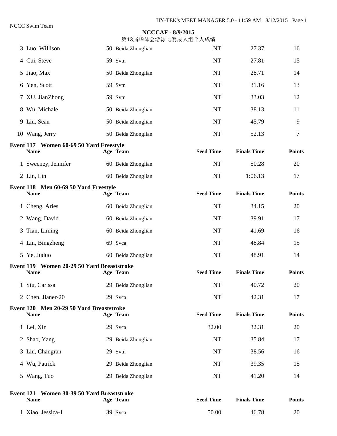|                                                           | <del>刀</del> Ⅰ 9/田┬ /艹厶 WI ソハ レ⊔ ッバ/ㅆノヽミ⊥   ノヽ/ㅆミッハ、 |                  |                    |               |
|-----------------------------------------------------------|------------------------------------------------------|------------------|--------------------|---------------|
| 3 Luo, Willison                                           | 50 Beida Zhonglian                                   | <b>NT</b>        | 27.37              | 16            |
| 4 Cui, Steve                                              | 59 Svtn                                              | <b>NT</b>        | 27.81              | 15            |
| 5 Jiao, Max                                               | 50 Beida Zhonglian                                   | <b>NT</b>        | 28.71              | 14            |
| 6 Yen, Scott                                              | 59 Svtn                                              | <b>NT</b>        | 31.16              | 13            |
| 7 XU, JianZhong                                           | 59 Svtn                                              | <b>NT</b>        | 33.03              | 12            |
| 8 Wu, Michale                                             | 50 Beida Zhonglian                                   | <b>NT</b>        | 38.13              | 11            |
| 9 Liu, Sean                                               | 50 Beida Zhonglian                                   | <b>NT</b>        | 45.79              | 9             |
| 10 Wang, Jerry                                            | 50 Beida Zhonglian                                   | <b>NT</b>        | 52.13              | 7             |
| Event 117 Women 60-69 50 Yard Freestyle<br><b>Name</b>    | Age Team                                             | <b>Seed Time</b> | <b>Finals Time</b> | <b>Points</b> |
| 1 Sweeney, Jennifer                                       | 60 Beida Zhonglian                                   | <b>NT</b>        | 50.28              | 20            |
| 2 Lin, Lin                                                | 60 Beida Zhonglian                                   | <b>NT</b>        | 1:06.13            | 17            |
| Event 118 Men 60-69 50 Yard Freestyle<br><b>Name</b>      | Age Team                                             | <b>Seed Time</b> | <b>Finals Time</b> | <b>Points</b> |
| 1 Cheng, Aries                                            | 60 Beida Zhonglian                                   | <b>NT</b>        | 34.15              | 20            |
| 2 Wang, David                                             | 60 Beida Zhonglian                                   | <b>NT</b>        | 39.91              | 17            |
| 3 Tian, Liming                                            | 60 Beida Zhonglian                                   | <b>NT</b>        | 41.69              | 16            |
| 4 Lin, Bingzheng                                          | 69 Svca                                              | <b>NT</b>        | 48.84              | 15            |
| 5 Ye, Juduo                                               | 60 Beida Zhonglian                                   | <b>NT</b>        | 48.91              | 14            |
| Event 119 Women 20-29 50 Yard Breaststroke<br><b>Name</b> | Age Team                                             | <b>Seed Time</b> | <b>Finals Time</b> | <b>Points</b> |
| 1 Siu, Carissa                                            | 29 Beida Zhonglian                                   | <b>NT</b>        | 40.72              | 20            |
| 2 Chen, Jianer-20                                         | 29 Svca                                              | <b>NT</b>        | 42.31              | 17            |
| Event 120 Men 20-29 50 Yard Breaststroke<br><b>Name</b>   | Age Team                                             | <b>Seed Time</b> | <b>Finals Time</b> | <b>Points</b> |
| 1 Lei, Xin                                                | 29 Svca                                              | 32.00            | 32.31              | 20            |
| 2 Shao, Yang                                              | 29 Beida Zhonglian                                   | <b>NT</b>        | 35.84              | 17            |
| 3 Liu, Changran                                           | 29 Svtn                                              | NT               | 38.56              | 16            |
| 4 Wu, Patrick                                             | 29 Beida Zhonglian                                   | NT               | 39.35              | 15            |
| 5 Wang, Tuo                                               | 29 Beida Zhonglian                                   | <b>NT</b>        | 41.20              | 14            |
| Event 121 Women 30-39 50 Yard Breaststroke<br><b>Name</b> | Age Team                                             | <b>Seed Time</b> | <b>Finals Time</b> | <b>Points</b> |
| 1 Xiao, Jessica-1                                         | 39 Svca                                              | 50.00            | 46.78              | 20            |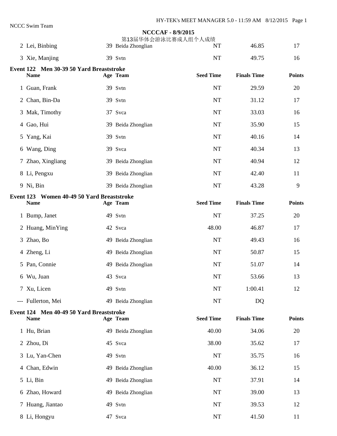# **NCCCAF - 8/9/2015**  第13届华体会游泳比赛成人组个人成绩 2 Lei, Binbing 39 Beida Zhonglian 17 16.85 17 3 Xie, Manjing 39 Svtn 39 Svtn NT 49.75 16 **Event 122 Men 30-39 50 Yard Breaststroke**  Name **Age Team** Seed Time Finals Time Points **Provide** 1 Guan, Frank 39 Svtn 1 Guan, Frank 29.59 20 2 Chan, Bin-Da 39 Svtn 17 17 31.12 17 3 Mak, Timothy 37 Svca 16 4 Gao, Hui 15<br>39 Beida Zhonglian 15<br>35.90 15 5 Yang, Kai 39 Svtn 14 6 Wang, Ding 39 Svca 13 7 Zhao, Xingliang 39 Beida Zhonglian NT 40.94 12 8 Li, Pengxu 39 Beida Zhonglian NT 42.40 11 erang 19 Ni, Bin 39 Beida Zhonglian 19 NT 43.28 9 **Event 123 Women 40-49 50 Yard Breaststroke**  Name **Age Team** Seed Time Finals Time Points **Parts Age Team** 1 Bump, Janet 49 Svtn 49 Svtn NT 37.25 20 2 Huang, MinYing 42 Svca 48.00 48.00 46.87 17 3 Zhao, Bo 16 Apr 2012 49 Beida Zhonglian 16 Apr 2014 16 Apr 2014 49.43 16 4 Zheng, Li 15<br>
49 Beida Zhonglian 15<br>
49 Beida Zhonglian 15 5 Pan, Connie 149 Beida Zhonglian 14 6 Wu, Juan 13 Svca 13 Svca 13 7 Xu, Licen 49 Svtn 49 Svtn NT 1:00.41 12 --- Fullerton, Mei 1988 (1998) 49 Beida Zhonglian 1988 (1998) NT **Event 124 Men 40-49 50 Yard Breaststroke**  Name **Age Team** Seed Time Finals Time Points **Parts Age Team** 1 Hu, Brian 19 19 Beida Zhonglian 19 10.00 34.06 20 2 Zhou, Di 45 Svca 38.00 35.62 17 3 Lu, Yan-Chen 49 Svtn 16 4 Chan, Edwin 15<br>
49 Beida Zhonglian 15<br>
40.00 36.12 15 5 Li, Bin 149 Beida Zhonglian 149 Reida 2001 14 6 Zhao, Howard 49 Beida Zhonglian NT 39.00 13 7 Huang, Jiantao  $\begin{array}{ccc} 49 & \text{Svtn} \\ 49 & \text{Svtn} \end{array}$  NT 39.53 12 8 Li, Hongyu 11 47 Svca 11 NT 41.50 11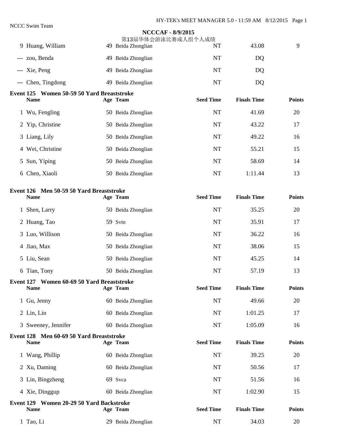|   |                                                           | <b>NCCCAF - 8/9/2015</b><br>第13届华体会游泳比赛成人组个人成绩 |                  |                    |               |
|---|-----------------------------------------------------------|------------------------------------------------|------------------|--------------------|---------------|
|   | 9 Huang, William                                          | 49 Beida Zhonglian                             | NT               | 43.08              | 9             |
|   | --- zou, Benda                                            | 49 Beida Zhonglian                             | <b>NT</b>        | DQ                 |               |
|   | --- Xie, Peng                                             | 49 Beida Zhonglian                             | <b>NT</b>        | DQ                 |               |
|   | --- Chen, Tingdong                                        | 49 Beida Zhonglian                             | <b>NT</b>        | DQ                 |               |
|   | Event 125 Women 50-59 50 Yard Breaststroke<br><b>Name</b> | Age Team                                       | <b>Seed Time</b> | <b>Finals Time</b> | <b>Points</b> |
|   | 1 Wu, Fengling                                            | 50 Beida Zhonglian                             | <b>NT</b>        | 41.69              | 20            |
|   | 2 Yip, Christine                                          | 50 Beida Zhonglian                             | <b>NT</b>        | 43.22              | 17            |
|   | 3 Liang, Lily                                             | 50 Beida Zhonglian                             | <b>NT</b>        | 49.22              | 16            |
|   | 4 Wei, Christine                                          | 50 Beida Zhonglian                             | <b>NT</b>        | 55.21              | 15            |
| 5 | Sun, Yiping                                               | 50 Beida Zhonglian                             | <b>NT</b>        | 58.69              | 14            |
|   | 6 Chen, Xiaoli                                            | 50 Beida Zhonglian                             | <b>NT</b>        | 1:11.44            | 13            |
|   | Event 126 Men 50-59 50 Yard Breaststroke<br><b>Name</b>   | Age Team                                       | <b>Seed Time</b> | <b>Finals Time</b> | <b>Points</b> |
|   | 1 Shen, Larry                                             | 50 Beida Zhonglian                             | NT               | 35.25              | 20            |
|   | 2 Huang, Tao                                              | 59 Svtn                                        | <b>NT</b>        | 35.91              | 17            |
|   | 3 Luo, Willison                                           | 50 Beida Zhonglian                             | <b>NT</b>        | 36.22              | 16            |
|   | 4 Jiao, Max                                               | 50 Beida Zhonglian                             | <b>NT</b>        | 38.06              | 15            |
|   | 5 Liu, Sean                                               | 50 Beida Zhonglian                             | NT               | 45.25              | 14            |
|   | 6 Tian, Tony                                              | 50 Beida Zhonglian                             | <b>NT</b>        | 57.19              | 13            |
|   | Event 127 Women 60-69 50 Yard Breaststroke<br><b>Name</b> | Age Team                                       | <b>Seed Time</b> | <b>Finals Time</b> | <b>Points</b> |
|   | 1 Gu, Jenny                                               | 60 Beida Zhonglian                             | <b>NT</b>        | 49.66              | 20            |
|   | 2 Lin, Lin                                                | 60 Beida Zhonglian                             | NT               | 1:01.25            | 17            |
|   | 3 Sweeney, Jennifer                                       | 60 Beida Zhonglian                             | <b>NT</b>        | 1:05.09            | 16            |
|   | Event 128 Men 60-69 50 Yard Breaststroke<br><b>Name</b>   | Age Team                                       | <b>Seed Time</b> | <b>Finals Time</b> | <b>Points</b> |
|   | 1 Wang, Phillip                                           | 60 Beida Zhonglian                             | NT               | 39.25              | 20            |
|   | 2 Xu, Daming                                              | 60 Beida Zhonglian                             | <b>NT</b>        | 50.56              | 17            |
|   | 3 Lin, Bingzheng                                          | 69 Svca                                        | <b>NT</b>        | 51.56              | 16            |
|   | 4 Xie, Dinggup                                            | 60 Beida Zhonglian                             | <b>NT</b>        | 1:02.90            | 15            |
|   | Event 129 Women 20-29 50 Yard Backstroke<br><b>Name</b>   | Age Team                                       | <b>Seed Time</b> | <b>Finals Time</b> | <b>Points</b> |
|   | 1 Tao, Li                                                 | 29 Beida Zhonglian                             | $\rm{NT}$        | 34.03              | 20            |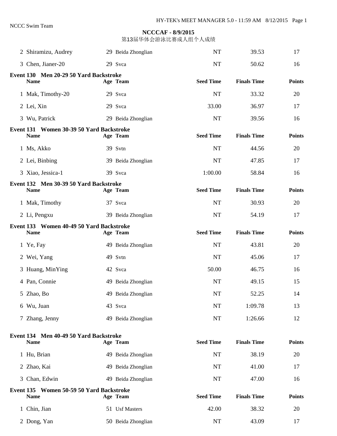| 2 Shiramizu, Audrey                                     | 29 Beida Zhonglian | <b>NT</b>        | 39.53              | 17            |
|---------------------------------------------------------|--------------------|------------------|--------------------|---------------|
| 3 Chen, Jianer-20                                       | 29 Svca            | <b>NT</b>        | 50.62              | 16            |
| Event 130 Men 20-29 50 Yard Backstroke<br><b>Name</b>   | Age Team           | <b>Seed Time</b> | <b>Finals Time</b> | <b>Points</b> |
| 1 Mak, Timothy-20                                       | 29 Svca            | <b>NT</b>        | 33.32              | 20            |
| 2 Lei, Xin                                              | 29 Svca            | 33.00            | 36.97              | 17            |
| 3 Wu, Patrick                                           | 29 Beida Zhonglian | <b>NT</b>        | 39.56              | 16            |
| Event 131 Women 30-39 50 Yard Backstroke<br><b>Name</b> | Age Team           | <b>Seed Time</b> | <b>Finals Time</b> | <b>Points</b> |
| 1 Ms, Akko                                              | 39 Svtn            | <b>NT</b>        | 44.56              | 20            |
| 2 Lei, Binbing                                          | 39 Beida Zhonglian | <b>NT</b>        | 47.85              | 17            |
| 3 Xiao, Jessica-1                                       | 39 Svca            | 1:00.00          | 58.84              | 16            |
| Event 132 Men 30-39 50 Yard Backstroke<br><b>Name</b>   | Age Team           | <b>Seed Time</b> | <b>Finals Time</b> | <b>Points</b> |
| 1 Mak, Timothy                                          | 37 Svca            | <b>NT</b>        | 30.93              | 20            |
| 2 Li, Pengxu                                            | 39 Beida Zhonglian | <b>NT</b>        | 54.19              | 17            |
| Event 133 Women 40-49 50 Yard Backstroke<br><b>Name</b> | Age Team           | <b>Seed Time</b> | <b>Finals Time</b> | <b>Points</b> |
| 1 Ye, Fay                                               | 49 Beida Zhonglian | <b>NT</b>        | 43.81              | 20            |
| 2 Wei, Yang                                             | 49 Svtn            | <b>NT</b>        | 45.06              | 17            |
| 3 Huang, MinYing                                        | 42 Svca            | 50.00            | 46.75              | 16            |
| 4 Pan, Connie                                           | 49 Beida Zhonglian | <b>NT</b>        | 49.15              | 15            |
| 5 Zhao, Bo                                              | 49 Beida Zhonglian | <b>NT</b>        | 52.25              | 14            |
| 6 Wu, Juan                                              | 43 Svca            | <b>NT</b>        | 1:09.78            | 13            |
| 7 Zhang, Jenny                                          | 49 Beida Zhonglian | NT               | 1:26.66            | 12            |
| Event 134 Men 40-49 50 Yard Backstroke<br><b>Name</b>   | Age Team           | <b>Seed Time</b> | <b>Finals Time</b> | <b>Points</b> |
| 1 Hu, Brian                                             | 49 Beida Zhonglian | <b>NT</b>        | 38.19              | 20            |
| 2 Zhao, Kai                                             | 49 Beida Zhonglian | <b>NT</b>        | 41.00              | 17            |
| 3 Chan, Edwin                                           | 49 Beida Zhonglian | NT               | 47.00              | 16            |
| Event 135 Women 50-59 50 Yard Backstroke<br><b>Name</b> | Age Team           | <b>Seed Time</b> | <b>Finals Time</b> | <b>Points</b> |
| 1 Chin, Jian                                            | 51 Usf Masters     | 42.00            | 38.32              | 20            |
| 2 Dong, Yan                                             | 50 Beida Zhonglian | <b>NT</b>        | 43.09              | 17            |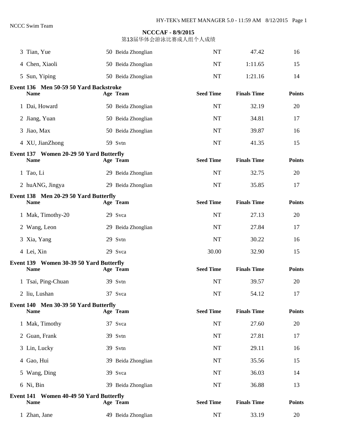| 3 Tian, Yue                                            | 50 Beida Zhonglian | NT               | 47.42              | 16            |
|--------------------------------------------------------|--------------------|------------------|--------------------|---------------|
| 4 Chen, Xiaoli                                         | 50 Beida Zhonglian | <b>NT</b>        | 1:11.65            | 15            |
| 5 Sun, Yiping                                          | 50 Beida Zhonglian | <b>NT</b>        | 1:21.16            | 14            |
| Event 136 Men 50-59 50 Yard Backstroke<br><b>Name</b>  | Age Team           | <b>Seed Time</b> | <b>Finals Time</b> | <b>Points</b> |
| 1 Dai, Howard                                          | 50 Beida Zhonglian | <b>NT</b>        | 32.19              | 20            |
| 2 Jiang, Yuan                                          | 50 Beida Zhonglian | <b>NT</b>        | 34.81              | 17            |
| 3 Jiao, Max                                            | 50 Beida Zhonglian | <b>NT</b>        | 39.87              | 16            |
| 4 XU, JianZhong                                        | 59 Svtn            | <b>NT</b>        | 41.35              | 15            |
| Event 137 Women 20-29 50 Yard Butterfly<br><b>Name</b> | Age Team           | <b>Seed Time</b> | <b>Finals Time</b> | <b>Points</b> |
| 1 Tao, Li                                              | 29 Beida Zhonglian | <b>NT</b>        | 32.75              | 20            |
| 2 huANG, Jingya                                        | 29 Beida Zhonglian | <b>NT</b>        | 35.85              | 17            |
| Event 138 Men 20-29 50 Yard Butterfly<br><b>Name</b>   | Age Team           | <b>Seed Time</b> | <b>Finals Time</b> | <b>Points</b> |
| 1 Mak, Timothy-20                                      | 29 Svca            | <b>NT</b>        | 27.13              | 20            |
| 2 Wang, Leon                                           | 29 Beida Zhonglian | <b>NT</b>        | 27.84              | 17            |
| 3 Xia, Yang                                            | 29 Svtn            | <b>NT</b>        | 30.22              | 16            |
| 4 Lei, Xin                                             | 29 Svca            | 30.00            | 32.90              | 15            |
| Event 139 Women 30-39 50 Yard Butterfly<br><b>Name</b> | Age Team           | <b>Seed Time</b> | <b>Finals Time</b> | <b>Points</b> |
| 1 Tsai, Ping-Chuan                                     | 39 Svtn            | <b>NT</b>        | 39.57              | 20            |
| 2 liu, Lushan                                          | 37 Svca            | NT               | 54.12              | 17            |
| Event 140 Men 30-39 50 Yard Butterfly<br><b>Name</b>   | Age Team           | <b>Seed Time</b> | <b>Finals Time</b> | <b>Points</b> |
| 1 Mak, Timothy                                         | 37 Svca            | NT               | 27.60              | 20            |
| 2 Guan, Frank                                          | 39 Svtn            | <b>NT</b>        | 27.81              | 17            |
| 3 Lin, Lucky                                           | 39 Svtn            | <b>NT</b>        | 29.11              | 16            |
| 4 Gao, Hui                                             | 39 Beida Zhonglian | NT               | 35.56              | 15            |
| 5 Wang, Ding                                           | 39 Svca            | <b>NT</b>        | 36.03              | 14            |
| 6 Ni, Bin                                              | 39 Beida Zhonglian | NT               | 36.88              | 13            |
| Event 141 Women 40-49 50 Yard Butterfly<br><b>Name</b> | Age Team           | <b>Seed Time</b> | <b>Finals Time</b> | <b>Points</b> |
| 1 Zhan, Jane                                           | 49 Beida Zhonglian | <b>NT</b>        | 33.19              | 20            |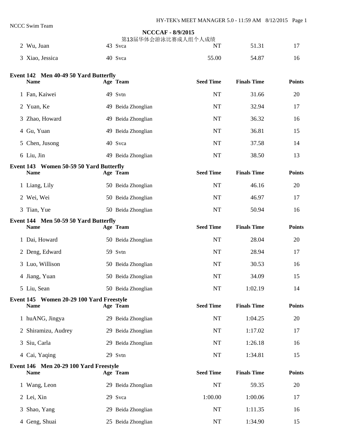## **NCCCAF - 8/9/2015**  第13届华体会游泳比赛成人组个人成绩 2 Wu, Juan 17 43 Svca NT 51.31 17 3 Xiao, Jessica 40 Svca 55.00 54.87 16 **Event 142 Men 40-49 50 Yard Butterfly**  Name **Age Team** Seed Time Finals Time Points **Parts Age Team**  1 Fan, Kaiwei 49 Svtn NT 31.66 20 2 Yuan, Ke 19 Reida Zhonglian 17 NT 32.94 17 3 Zhao, Howard 19 Beida Zhonglian 16 NT 36.32 16 4 Gu, Yuan 15 5 Chen, Jusong 40 Svca 14 6 Liu, Jin 49 Beida Zhonglian NT 38.50 13 **Event 143 Women 50-59 50 Yard Butterfly**  Name **Age Team** Seed Time Finals Time Points **Provide** 1 Liang, Lily 50 Beida Zhonglian 1 NT 46.16 20 2 Wei, Wei 17 and 17 and 50 Beida Zhonglian 17 and 17 and 17 and 17 and 17 and 17 and 17 and 17 and 17 and 17 and 17 3 Tian, Yue 50 Seida Zhonglian 50.94 16 **Event 144 Men 50-59 50 Yard Butterfly**  Name **Age Team** Seed Time Finals Time Points **Parts Age Team** 1 Dai, Howard 50 Beida Zhonglian 1 NT 28.04 20 2 Deng, Edward 59 Svtn 17 17 28.94 17 3 Luo, Willison 50 Beida Zhonglian 16 NT 30.53 16 4 Jiang, Yuan 50 Beida Zhonglian 15 5 Liu, Sean 50 Beida Zhonglian 50 Beida Zhonglian 50 NT 1:02.19 14 **Event 145 Women 20-29 100 Yard Freestyle**  Name **Age Team** Seed Time Finals Time Points **Parts Age Team**  1 huANG, Jingya 29 Beida Zhonglian NT 1:04.25 20 2 Shiramizu, Audrey 29 Beida Zhonglian 11.17.02 17 3 Siu, Carla 29 Beida Zhonglian NT 1:26.18 16 4 Cai, Yaqing 29 Svtn 1:34.81 15 **Event 146 Men 20-29 100 Yard Freestyle**  Name **Age Team** Seed Time Finals Time Points **Provide** 1 Wang, Leon 29 Beida Zhonglian 1 NT 59.35 20 2 Lei, Xin 29 Svca 1:00.00 1:00.06 17 3 Shao, Yang 29 Beida Zhonglian 111.11.35 16 4 Geng, Shuai 25 Beida Zhonglian 1:34.90 15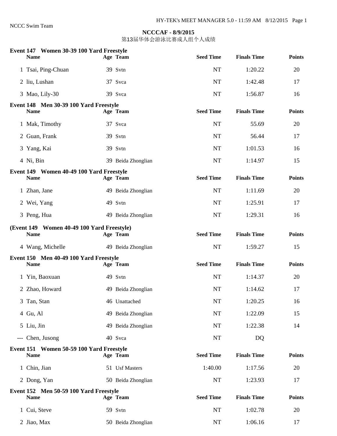| Event 147 Women 30-39 100 Yard Freestyle<br><b>Name</b>   | Age Team           | <b>Seed Time</b> | <b>Finals Time</b> | <b>Points</b> |
|-----------------------------------------------------------|--------------------|------------------|--------------------|---------------|
| 1 Tsai, Ping-Chuan                                        | 39 Svtn            | <b>NT</b>        | 1:20.22            | 20            |
| 2 liu, Lushan                                             | 37 Svca            | <b>NT</b>        | 1:42.48            | 17            |
| 3 Mao, Lily-30                                            | 39 Svca            | <b>NT</b>        | 1:56.87            | 16            |
| Event 148 Men 30-39 100 Yard Freestyle<br><b>Name</b>     | Age Team           | <b>Seed Time</b> | <b>Finals Time</b> | <b>Points</b> |
| 1 Mak, Timothy                                            | 37 Svca            | NT               | 55.69              | 20            |
| 2 Guan, Frank                                             | 39 Svtn            | <b>NT</b>        | 56.44              | 17            |
| 3 Yang, Kai                                               | 39 Svtn            | <b>NT</b>        | 1:01.53            | 16            |
| 4 Ni, Bin                                                 | 39 Beida Zhonglian | <b>NT</b>        | 1:14.97            | 15            |
| Event 149 Women 40-49 100 Yard Freestyle<br><b>Name</b>   | Age Team           | <b>Seed Time</b> | <b>Finals Time</b> | <b>Points</b> |
| 1 Zhan, Jane                                              | 49 Beida Zhonglian | NT               | 1:11.69            | 20            |
| 2 Wei, Yang                                               | 49 Svtn            | <b>NT</b>        | 1:25.91            | 17            |
| 3 Peng, Hua                                               | 49 Beida Zhonglian | <b>NT</b>        | 1:29.31            | 16            |
| (Event 149 Women 40-49 100 Yard Freestyle)<br><b>Name</b> | Age Team           | <b>Seed Time</b> | <b>Finals Time</b> | <b>Points</b> |
| 4 Wang, Michelle                                          | 49 Beida Zhonglian | NT               | 1:59.27            | 15            |
| Event 150 Men 40-49 100 Yard Freestyle<br><b>Name</b>     | Age Team           | <b>Seed Time</b> | <b>Finals Time</b> | <b>Points</b> |
| 1 Yin, Baoxuan                                            | 49 Svtn            | NT               | 1:14.37            | 20            |
| 2 Zhao, Howard                                            | 49 Beida Zhonglian | NT               | 1:14.62            | 17            |
| 3 Tan, Stan                                               | 46 Unattached      | NT               | 1:20.25            | 16            |
| 4 Gu, Al                                                  | 49 Beida Zhonglian | NT               | 1:22.09            | 15            |
| 5 Liu, Jin                                                | 49 Beida Zhonglian | NT               | 1:22.38            | 14            |
| --- Chen, Jusong                                          | 40 Svca            | $\rm{NT}$        | DQ                 |               |
| Event 151 Women 50-59 100 Yard Freestyle<br><b>Name</b>   | Age Team           | <b>Seed Time</b> | <b>Finals Time</b> | <b>Points</b> |
| 1 Chin, Jian                                              | 51 Usf Masters     | 1:40.00          | 1:17.56            | 20            |
| 2 Dong, Yan                                               | 50 Beida Zhonglian | NT               | 1:23.93            | 17            |
| Event 152 Men 50-59 100 Yard Freestyle<br><b>Name</b>     | Age Team           | <b>Seed Time</b> | <b>Finals Time</b> | <b>Points</b> |
| 1 Cui, Steve                                              | 59 Svtn            | NT               | 1:02.78            | 20            |
| 2 Jiao, Max                                               | 50 Beida Zhonglian | NT               | 1:06.16            | 17            |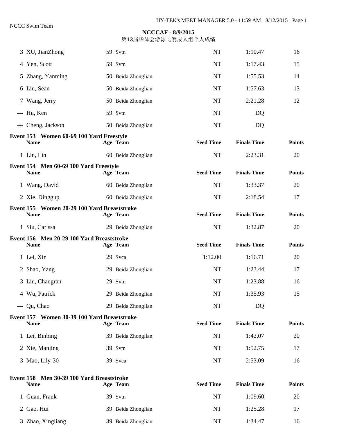| 3 XU, JianZhong                                            | 59 Svtn            | NT               | 1:10.47            | 16            |
|------------------------------------------------------------|--------------------|------------------|--------------------|---------------|
| 4 Yen, Scott                                               | 59 Svtn            | <b>NT</b>        | 1:17.43            | 15            |
| 5 Zhang, Yanming                                           | 50 Beida Zhonglian | <b>NT</b>        | 1:55.53            | 14            |
| 6 Liu, Sean                                                | 50 Beida Zhonglian | <b>NT</b>        | 1:57.63            | 13            |
| 7 Wang, Jerry                                              | 50 Beida Zhonglian | <b>NT</b>        | 2:21.28            | 12            |
| --- Hu, Ken                                                | 59 Svtn            | <b>NT</b>        | DQ                 |               |
| --- Cheng, Jackson                                         | 50 Beida Zhonglian | <b>NT</b>        | DQ                 |               |
| Event 153 Women 60-69 100 Yard Freestyle<br><b>Name</b>    | Age Team           | <b>Seed Time</b> | <b>Finals Time</b> | <b>Points</b> |
| 1 Lin, Lin                                                 | 60 Beida Zhonglian | <b>NT</b>        | 2:23.31            | 20            |
| Event 154 Men 60-69 100 Yard Freestyle<br><b>Name</b>      | Age Team           | <b>Seed Time</b> | <b>Finals Time</b> | <b>Points</b> |
| 1 Wang, David                                              | 60 Beida Zhonglian | NT               | 1:33.37            | 20            |
| 2 Xie, Dinggup                                             | 60 Beida Zhonglian | NT               | 2:18.54            | 17            |
| Event 155 Women 20-29 100 Yard Breaststroke<br><b>Name</b> | Age Team           | <b>Seed Time</b> | <b>Finals Time</b> | <b>Points</b> |
| 1 Siu, Carissa                                             | 29 Beida Zhonglian | <b>NT</b>        | 1:32.87            | 20            |
| Event 156 Men 20-29 100 Yard Breaststroke<br><b>Name</b>   | Age Team           | <b>Seed Time</b> | <b>Finals Time</b> | <b>Points</b> |
| 1 Lei, Xin                                                 | 29 Svca            | 1:12.00          | 1:16.71            | 20            |
| 2 Shao, Yang                                               | 29 Beida Zhonglian | NT               | 1:23.44            | 17            |
| 3 Liu, Changran                                            | 29 Svtn            | <b>NT</b>        | 1:23.88            | 16            |
| 4 Wu, Patrick                                              | 29 Beida Zhonglian | <b>NT</b>        | 1:35.93            | 15            |
| --- Qu, Chao                                               | 29 Beida Zhonglian | $\rm{NT}$        | DQ                 |               |
| Event 157 Women 30-39 100 Yard Breaststroke<br><b>Name</b> | Age Team           | <b>Seed Time</b> | <b>Finals Time</b> | <b>Points</b> |
| 1 Lei, Binbing                                             | 39 Beida Zhonglian | <b>NT</b>        | 1:42.07            | 20            |
| 2 Xie, Manjing                                             | 39 Svtn            | <b>NT</b>        | 1:52.75            | 17            |
| 3 Mao, Lily-30                                             | 39 Svca            | NT               | 2:53.09            | 16            |
| Event 158 Men 30-39 100 Yard Breaststroke<br><b>Name</b>   | Age Team           | <b>Seed Time</b> | <b>Finals Time</b> | <b>Points</b> |
| 1 Guan, Frank                                              | 39 Svtn            | NT               | 1:09.60            | 20            |
| 2 Gao, Hui                                                 | 39 Beida Zhonglian | NT               | 1:25.28            | 17            |
| 3 Zhao, Xingliang                                          | 39 Beida Zhonglian | NT               | 1:34.47            | 16            |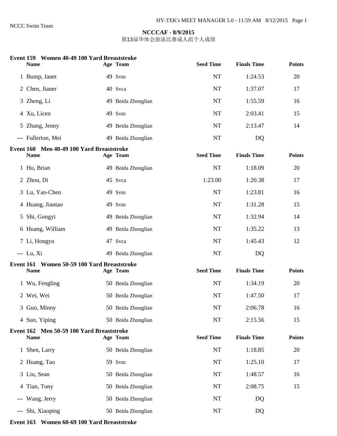第13届华体会游泳比赛成人组个人成绩

|  | Event 159 Women 40-49 100 Yard Breaststroke |  |  |
|--|---------------------------------------------|--|--|
|--|---------------------------------------------|--|--|

| <b>Name</b>                                                | Age Team           | <b>Seed Time</b> | <b>Finals Time</b> | <b>Points</b> |
|------------------------------------------------------------|--------------------|------------------|--------------------|---------------|
| 1 Bump, Janet                                              | 49 Svtn            | <b>NT</b>        | 1:24.53            | 20            |
| 2 Chen, Jianer                                             | 40 Svca            | <b>NT</b>        | 1:37.07            | 17            |
| 3 Zheng, Li                                                | 49 Beida Zhonglian | <b>NT</b>        | 1:55.59            | 16            |
| 4 Xu, Licen                                                | 49 Svtn            | <b>NT</b>        | 2:03.41            | 15            |
| 5 Zhang, Jenny                                             | 49 Beida Zhonglian | <b>NT</b>        | 2:13.47            | 14            |
| --- Fullerton, Mei                                         | 49 Beida Zhonglian | NT               | DQ                 |               |
| Event 160 Men 40-49 100 Yard Breaststroke<br><b>Name</b>   | Age Team           | <b>Seed Time</b> | <b>Finals Time</b> | <b>Points</b> |
| 1 Hu, Brian                                                | 49 Beida Zhonglian | <b>NT</b>        | 1:18.09            | 20            |
| 2 Zhou, Di                                                 | 45 Svca            | 1:23.00          | 1:20.38            | 17            |
| 3 Lu, Yan-Chen                                             | 49 Svtn            | <b>NT</b>        | 1:23.81            | 16            |
| 4 Huang, Jiantao                                           | 49 Svtn            | <b>NT</b>        | 1:31.28            | 15            |
| 5 Shi, Gongyi                                              | 49 Beida Zhonglian | <b>NT</b>        | 1:32.94            | 14            |
| 6 Huang, William                                           | 49 Beida Zhonglian | <b>NT</b>        | 1:35.22            | 13            |
| 7 Li, Hongyu                                               | 47 Svca            | <b>NT</b>        | 1:45.43            | 12            |
| $-- Lu, Xi$                                                | 49 Beida Zhonglian | NT               | DQ                 |               |
| Event 161 Women 50-59 100 Yard Breaststroke<br><b>Name</b> | Age Team           | <b>Seed Time</b> | <b>Finals Time</b> | <b>Points</b> |
| 1 Wu, Fengling                                             | 50 Beida Zhonglian | <b>NT</b>        | 1:34.19            | 20            |
| 2 Wei, Wei                                                 | 50 Beida Zhonglian | <b>NT</b>        | 1:47.50            | 17            |
| 3 Guo, Minny                                               | 50 Beida Zhonglian | NT               | 2:06.78            | 16            |
| 4 Sun, Yiping                                              | 50 Beida Zhonglian | <b>NT</b>        | 2:15.56            | 15            |
| Event 162 Men 50-59 100 Yard Breaststroke<br>Name          | Age Team           | <b>Seed Time</b> | <b>Finals Time</b> | Points        |
| 1 Shen, Larry                                              | 50 Beida Zhonglian | NT               | 1:18.85            | 20            |
| 2 Huang, Tao                                               | 59 Svtn            | NT               | 1:25.10            | 17            |
| 3 Liu, Sean                                                | 50 Beida Zhonglian | NT               | 1:48.57            | 16            |
| 4 Tian, Tony                                               | 50 Beida Zhonglian | NT               | 2:08.75            | 15            |
| --- Wang, Jerry                                            | 50 Beida Zhonglian | NT               | DQ                 |               |
| --- Shi, Xiaoping                                          | 50 Beida Zhonglian | NT               | DQ                 |               |

#### **Event 163 Women 60-69 100 Yard Breaststroke**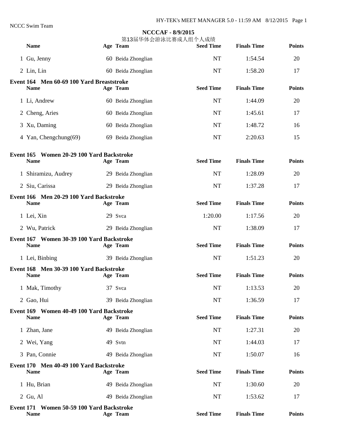## **NCCCAF - 8/9/2015**  第13届华体会游泳比赛成人组个人成绩 Name **Age Team** Seed Time Finals Time Points **Parts Age Team** 1 Gu, Jenny 1:54.54 20 2 Lin, Lin 60 Beida Zhonglian 1:58.20 17 **Event 164 Men 60-69 100 Yard Breaststroke**  Name **Age Team** Seed Time Finals Time Points **Provide** 1 Li, Andrew 60 Beida Zhonglian 1:44.09 20 2 Cheng, Aries 60 Beida Zhonglian 11:45.61 11:45.61 17 3 Xu, Daming 60 Beida Zhonglian 1:48.72 16 4 Yan, Chengchung(69) 69 Beida Zhonglian 15 NT 2:20.63 15 **Event 165 Women 20-29 100 Yard Backstroke**  Name **Age Team** Seed Time Finals Time Points **Parts Age Team** 1 Shiramizu, Audrey 29 Beida Zhonglian 1:28.09 20 2 Siu, Carissa 29 Beida Zhonglian 1:37.28 17 **Event 166 Men 20-29 100 Yard Backstroke**  Name **Age Team** Seed Time Finals Time Points **Parts Age Team**  1 Lei, Xin 29 Svca 1:20.00 1:17.56 20 2 Wu, Patrick 29 Beida Zhonglian 1:38.09 17 **Event 167 Women 30-39 100 Yard Backstroke**  Name **Age Team** Seed Time Finals Time Points **Provide** 1 Lei, Binbing 39 Beida Zhonglian 1:51.23 20 **Event 168 Men 30-39 100 Yard Backstroke**  Name **Age Team** Seed Time Finals Time Points **Provide** 1 Mak, Timothy 37 Svca 1:13.53 20 2 Gao, Hui 1:36.59 17 **Event 169 Women 40-49 100 Yard Backstroke**  Name **Age Team** Seed Time Finals Time Points **Parts Age Team** 1 Zhan, Jane 11 20 3 49 Beida Zhonglian 1 20 49 Beida Zhonglian 1:27.31 20 2 Wei, Yang 1:44.03 17 3 Pan, Connie 150.07 16 **Event 170 Men 40-49 100 Yard Backstroke**  Name **Age Team** Seed Time Finals Time Points **Parts Age Team** 1 Hu, Brian 1:30.60 20 2 Gu, Al 49 Beida Zhonglian NT 1:53.62 17 **Event 171 Women 50-59 100 Yard Backstroke**  Name **Age Team** Seed Time Finals Time Points **Provide**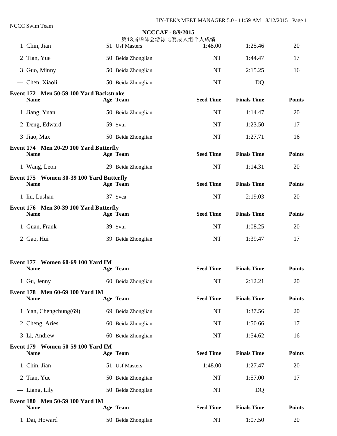|                                                         | <b>NCCCAF - 8/9/2015</b><br>第13届华体会游泳比赛成人组个人成绩 |                  |                    |               |
|---------------------------------------------------------|------------------------------------------------|------------------|--------------------|---------------|
| 1 Chin, Jian                                            | 51 Usf Masters                                 | 1:48.00          | 1:25.46            | 20            |
| 2 Tian, Yue                                             | 50 Beida Zhonglian                             | <b>NT</b>        | 1:44.47            | 17            |
| 3 Guo, Minny                                            | 50 Beida Zhonglian                             | <b>NT</b>        | 2:15.25            | 16            |
| --- Chen, Xiaoli                                        | 50 Beida Zhonglian                             | <b>NT</b>        | DQ                 |               |
| Event 172 Men 50-59 100 Yard Backstroke<br><b>Name</b>  | Age Team                                       | <b>Seed Time</b> | <b>Finals Time</b> | <b>Points</b> |
| 1 Jiang, Yuan                                           | 50 Beida Zhonglian                             | <b>NT</b>        | 1:14.47            | 20            |
| 2 Deng, Edward                                          | 59 Svtn                                        | <b>NT</b>        | 1:23.50            | 17            |
| 3 Jiao, Max                                             | 50 Beida Zhonglian                             | <b>NT</b>        | 1:27.71            | 16            |
| Event 174 Men 20-29 100 Yard Butterfly                  |                                                | <b>Seed Time</b> | <b>Finals Time</b> |               |
| <b>Name</b>                                             | Age Team                                       |                  |                    | <b>Points</b> |
| 1 Wang, Leon                                            | 29 Beida Zhonglian                             | <b>NT</b>        | 1:14.31            | 20            |
| Event 175 Women 30-39 100 Yard Butterfly<br><b>Name</b> | Age Team                                       | <b>Seed Time</b> | <b>Finals Time</b> | <b>Points</b> |
| 1 liu, Lushan                                           | 37 Svca                                        | <b>NT</b>        | 2:19.03            | 20            |
| Event 176 Men 30-39 100 Yard Butterfly<br><b>Name</b>   | Age Team                                       | <b>Seed Time</b> | <b>Finals Time</b> | <b>Points</b> |
| 1 Guan, Frank                                           | 39 Svtn                                        | <b>NT</b>        | 1:08.25            | 20            |
| 2 Gao, Hui                                              | 39 Beida Zhonglian                             | <b>NT</b>        | 1:39.47            | 17            |
| Event 177 Women 60-69 100 Yard IM                       |                                                |                  |                    |               |
| <b>Name</b>                                             | Age Team                                       | <b>Seed Time</b> | <b>Finals Time</b> | <b>Points</b> |
| 1 Gu, Jenny                                             | 60 Beida Zhonglian                             | NT               | 2:12.21            | 20            |
| Event 178 Men 60-69 100 Yard IM<br><b>Name</b>          | Age Team                                       | <b>Seed Time</b> | <b>Finals Time</b> | <b>Points</b> |
| 1 Yan, Chengchung(69)                                   | 69 Beida Zhonglian                             | <b>NT</b>        | 1:37.56            | 20            |
| 2 Cheng, Aries                                          | 60 Beida Zhonglian                             | <b>NT</b>        | 1:50.66            | 17            |
| 3 Li, Andrew                                            | 60 Beida Zhonglian                             | <b>NT</b>        | 1:54.62            | 16            |
| Event 179 Women 50-59 100 Yard IM<br><b>Name</b>        | Age Team                                       | <b>Seed Time</b> | <b>Finals Time</b> | <b>Points</b> |
| 1 Chin, Jian                                            | 51 Usf Masters                                 | 1:48.00          | 1:27.47            | 20            |
| 2 Tian, Yue                                             | 50 Beida Zhonglian                             | <b>NT</b>        | 1:57.00            | 17            |
| --- Liang, Lily                                         | 50 Beida Zhonglian                             | NT               | DQ                 |               |
| Event 180 Men 50-59 100 Yard IM<br>Name                 | Age Team                                       | <b>Seed Time</b> | <b>Finals Time</b> | <b>Points</b> |
| 1 Dai, Howard                                           | 50 Beida Zhonglian                             | NT               | 1:07.50            | 20            |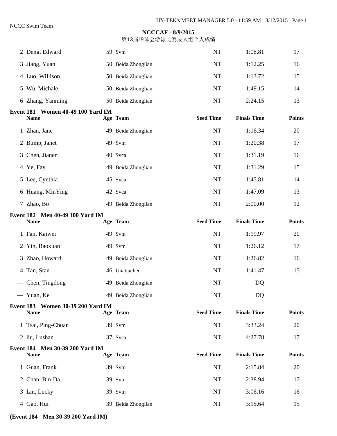第13届华体会游泳比赛成人组个人成绩

| 2 Deng, Edward                                   | 59 Svtn            | <b>NT</b>        | 1:08.81            | 17            |
|--------------------------------------------------|--------------------|------------------|--------------------|---------------|
| 3 Jiang, Yuan                                    | 50 Beida Zhonglian | NT               | 1:12.25            | 16            |
| 4 Luo, Willison                                  | 50 Beida Zhonglian | NT               | 1:13.72            | 15            |
| 5 Wu, Michale                                    | 50 Beida Zhonglian | NT               | 1:49.15            | 14            |
| 6 Zhang, Yanming                                 | 50 Beida Zhonglian | NT               | 2:24.15            | 13            |
| Event 181 Women 40-49 100 Yard IM<br><b>Name</b> | Age Team           | <b>Seed Time</b> | <b>Finals Time</b> | <b>Points</b> |
| 1 Zhan, Jane                                     | 49 Beida Zhonglian | NT               | 1:16.34            | 20            |
| 2 Bump, Janet                                    | 49 Svtn            | <b>NT</b>        | 1:20.38            | 17            |
| 3 Chen, Jianer                                   | 40 Svca            | NT               | 1:31.19            | 16            |
| 4 Ye, Fay                                        | 49 Beida Zhonglian | <b>NT</b>        | 1:31.29            | 15            |
| 5 Lee, Cynthia                                   | 45 Svca            | <b>NT</b>        | 1:45.81            | 14            |
| 6 Huang, MinYing                                 | 42 Svca            | <b>NT</b>        | 1:47.09            | 13            |
| 7 Zhao, Bo                                       | 49 Beida Zhonglian | NT               | 2:00.00            | 12            |
| Event 182 Men 40-49 100 Yard IM<br><b>Name</b>   | Age Team           | <b>Seed Time</b> | <b>Finals Time</b> | <b>Points</b> |
| 1 Fan, Kaiwei                                    | 49 Svtn            | NT               | 1:19.97            | 20            |
| 2 Yin, Baoxuan                                   | 49 Svtn            | <b>NT</b>        | 1:26.12            | 17            |
| 3 Zhao, Howard                                   | 49 Beida Zhonglian | NT               | 1:26.82            | 16            |
| 4 Tan, Stan                                      | 46 Unattached      | NT               | 1:41.47            | 15            |
| --- Chen, Tingdong                               | 49 Beida Zhonglian | NT               | DQ                 |               |
| --- Yuan, Ke                                     | 49 Beida Zhonglian | NT               | DQ                 |               |
| Event 183 Women 30-39 200 Yard IM<br><b>Name</b> | Age Team           | <b>Seed Time</b> | <b>Finals Time</b> | <b>Points</b> |
| 1 Tsai, Ping-Chuan                               | 39 Svtn            | NT               | 3:33.24            | 20            |
| 2 liu, Lushan                                    | 37 Svca            | NT               | 4:27.78            | 17            |
| Event 184 Men 30-39 200 Yard IM<br><b>Name</b>   | Age Team           | <b>Seed Time</b> | <b>Finals Time</b> | <b>Points</b> |
| 1 Guan, Frank                                    | 39 Svtn            | NT               | 2:15.84            | 20            |
| 2 Chan, Bin-Da                                   | 39 Svtn            | NT               | 2:38.94            | 17            |
| 3 Lin, Lucky                                     | 39 Svtn            | NT               | 3:06.16            | 16            |
| 4 Gao, Hui                                       | 39 Beida Zhonglian | NT               | 3:15.64            | 15            |

**(Event 184 Men 30-39 200 Yard IM)**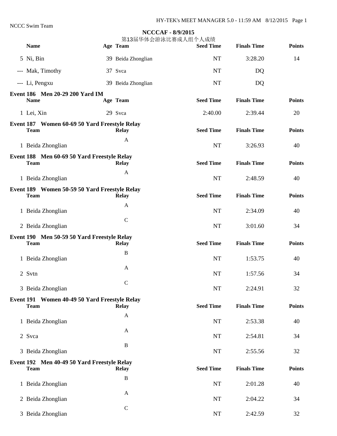| TWO DWIII TUAIII                                             | <b>NCCCAF - 8/9/2015</b><br>第13届华体会游泳比赛成人组个人成绩 |                  |                    |               |
|--------------------------------------------------------------|------------------------------------------------|------------------|--------------------|---------------|
| <b>Name</b>                                                  | Age Team                                       | <b>Seed Time</b> | <b>Finals Time</b> | <b>Points</b> |
| 5 Ni, Bin                                                    | 39 Beida Zhonglian                             | NT               | 3:28.20            | 14            |
| --- Mak, Timothy                                             | 37 Svca                                        | NT               | DQ                 |               |
| --- Li, Pengxu                                               | 39 Beida Zhonglian                             | NT               | DQ                 |               |
| Event 186 Men 20-29 200 Yard IM                              |                                                |                  |                    |               |
| <b>Name</b>                                                  | Age Team                                       | <b>Seed Time</b> | <b>Finals Time</b> | <b>Points</b> |
| 1 Lei, Xin                                                   | 29 Svca                                        | 2:40.00          | 2:39.44            | 20            |
| Event 187 Women 60-69 50 Yard Freestyle Relay<br><b>Team</b> | <b>Relay</b>                                   | <b>Seed Time</b> | <b>Finals Time</b> | <b>Points</b> |
| 1 Beida Zhonglian                                            | $\mathbf{A}$                                   | <b>NT</b>        | 3:26.93            | 40            |
| Event 188 Men 60-69 50 Yard Freestyle Relay<br><b>Team</b>   | <b>Relay</b>                                   | <b>Seed Time</b> | <b>Finals Time</b> | <b>Points</b> |
| 1 Beida Zhonglian                                            | A                                              | <b>NT</b>        | 2:48.59            | 40            |
| Event 189 Women 50-59 50 Yard Freestyle Relay<br><b>Team</b> | <b>Relay</b>                                   | <b>Seed Time</b> | <b>Finals Time</b> | <b>Points</b> |
| 1 Beida Zhonglian                                            | A                                              | <b>NT</b>        | 2:34.09            | 40            |
| 2 Beida Zhonglian                                            | $\mathbf C$                                    | <b>NT</b>        | 3:01.60            | 34            |
| Event 190 Men 50-59 50 Yard Freestyle Relay<br><b>Team</b>   | <b>Relay</b>                                   | <b>Seed Time</b> | <b>Finals Time</b> | <b>Points</b> |
| 1 Beida Zhonglian                                            | $\bf{B}$                                       | <b>NT</b>        | 1:53.75            | 40            |
| 2 Svtn                                                       | $\mathbf{A}$                                   | $\rm{NT}$        | 1:57.56            | 34            |
| 3 Beida Zhonglian                                            | $\mathbf C$                                    | $\rm{NT}$        | 2:24.91            | 32            |
| Event 191 Women 40-49 50 Yard Freestyle Relay<br><b>Team</b> | <b>Relay</b>                                   | <b>Seed Time</b> | <b>Finals Time</b> | <b>Points</b> |
| 1 Beida Zhonglian                                            | A                                              | <b>NT</b>        | 2:53.38            | 40            |
| 2 Svca                                                       | $\mathbf{A}$                                   | NT               | 2:54.81            | 34            |
| 3 Beida Zhonglian                                            | $\, {\bf B}$                                   | NT               | 2:55.56            | 32            |
| Event 192 Men 40-49 50 Yard Freestyle Relay<br><b>Team</b>   | <b>Relay</b>                                   | <b>Seed Time</b> | <b>Finals Time</b> | <b>Points</b> |
| 1 Beida Zhonglian                                            | $\, {\bf B}$                                   | NT               | 2:01.28            | 40            |
| 2 Beida Zhonglian                                            | $\mathbf{A}$                                   | $\rm{NT}$        | 2:04.22            | 34            |
| 3 Beida Zhonglian                                            | $\mathbf C$                                    | $\rm{NT}$        | 2:42.59            | 32            |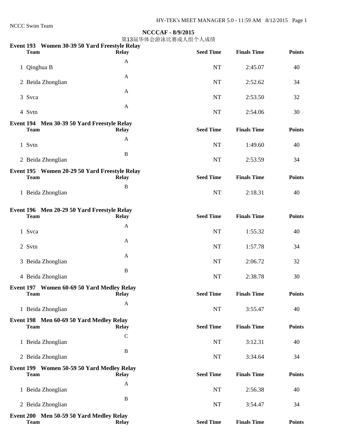NCCC Swim Team

#### **NCCCAF - 8/9/2015**

| Event 193 Women 30-39 50 Yard Freestyle Relay<br><b>Team</b> | <b>Relay</b> | <b>Seed Time</b> | <b>Finals Time</b> | <b>Points</b> |
|--------------------------------------------------------------|--------------|------------------|--------------------|---------------|
|                                                              |              |                  |                    |               |
| 1 Qinghua B                                                  | $\mathbf{A}$ | <b>NT</b>        | 2:45.07            | 40            |
| 2 Beida Zhonglian                                            | $\mathbf{A}$ | <b>NT</b>        | 2:52.62            | 34            |
| 3 Svca                                                       | $\mathbf{A}$ | <b>NT</b>        | 2:53.50            | 32            |
| 4 Svtn                                                       | $\mathbf{A}$ | <b>NT</b>        | 2:54.06            | 30            |
| Event 194 Men 30-39 50 Yard Freestyle Relay<br><b>Team</b>   | <b>Relay</b> | <b>Seed Time</b> | <b>Finals Time</b> | <b>Points</b> |
| 1 Svtn                                                       | $\mathbf{A}$ | <b>NT</b>        | 1:49.60            | 40            |
| 2 Beida Zhonglian                                            | $\, {\bf B}$ | NT               | 2:53.59            | 34            |
| Event 195 Women 20-29 50 Yard Freestyle Relay<br><b>Team</b> | <b>Relay</b> | <b>Seed Time</b> | <b>Finals Time</b> | <b>Points</b> |
| 1 Beida Zhonglian                                            | $\, {\bf B}$ | NT               | 2:18.31            | 40            |
| Event 196 Men 20-29 50 Yard Freestyle Relay<br><b>Team</b>   | <b>Relay</b> | <b>Seed Time</b> | <b>Finals Time</b> | <b>Points</b> |
| 1 Svca                                                       | A            | <b>NT</b>        | 1:55.32            | 40            |
| 2 Svtn                                                       | $\mathbf{A}$ | <b>NT</b>        | 1:57.78            | 34            |
| 3 Beida Zhonglian                                            | $\mathbf{A}$ | <b>NT</b>        | 2:06.72            | 32            |
| 4 Beida Zhonglian                                            | $\, {\bf B}$ | NT               | 2:38.78            | 30            |
| Event 197 Women 60-69 50 Yard Medley Relay<br><b>Team</b>    | <b>Relay</b> | <b>Seed Time</b> | <b>Finals Time</b> | <b>Points</b> |
| 1 Beida Zhonglian                                            | $\mathbf{A}$ | NT               | 3:55.47            | 40            |
| Event 198 Men 60-69 50 Yard Medley Relay<br><b>Team</b>      | <b>Relay</b> | <b>Seed Time</b> | <b>Finals Time</b> | <b>Points</b> |
| 1 Beida Zhonglian                                            | $\mathbf C$  | NT               | 3:12.31            | 40            |
| 2 Beida Zhonglian                                            | $\bf{B}$     | NT               | 3:34.64            | 34            |
| Event 199 Women 50-59 50 Yard Medley Relay<br><b>Team</b>    | <b>Relay</b> | <b>Seed Time</b> | <b>Finals Time</b> | <b>Points</b> |
| 1 Beida Zhonglian                                            | $\mathbf{A}$ | NT               | 2:56.38            | 40            |
| 2 Beida Zhonglian                                            | $\bf{B}$     | NT               | 3:54.47            | 34            |
| Event 200 Men 50-59 50 Yard Medley Relay<br><b>Team</b>      | <b>Relay</b> | <b>Seed Time</b> | <b>Finals Time</b> | <b>Points</b> |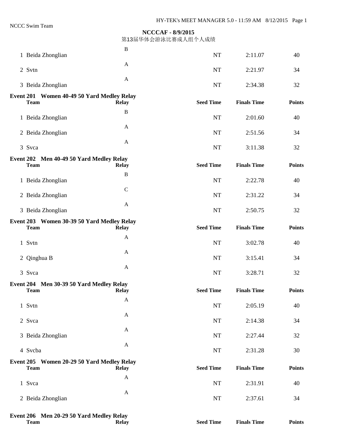第13届华体会游泳比赛成人组个人成绩

| 1 Beida Zhonglian                                         | $\bf{B}$         | NT               | 2:11.07            | 40            |
|-----------------------------------------------------------|------------------|------------------|--------------------|---------------|
| 2 Svtn                                                    | $\mathbf{A}$     | NT               | 2:21.97            | 34            |
| 3 Beida Zhonglian                                         | $\mathbf{A}$     | NT               | 2:34.38            | 32            |
| Event 201 Women 40-49 50 Yard Medley Relay                |                  |                  |                    |               |
| <b>Team</b>                                               | <b>Relay</b>     | <b>Seed Time</b> | <b>Finals Time</b> | <b>Points</b> |
| 1 Beida Zhonglian                                         | B                | <b>NT</b>        | 2:01.60            | 40            |
| 2 Beida Zhonglian                                         | $\mathbf{A}$     | <b>NT</b>        | 2:51.56            | 34            |
| 3 Svca                                                    | $\mathbf{A}$     | NT               | 3:11.38            | 32            |
| Event 202 Men 40-49 50 Yard Medley Relay<br><b>Team</b>   | <b>Relay</b>     | <b>Seed Time</b> | <b>Finals Time</b> | <b>Points</b> |
| 1 Beida Zhonglian                                         | $\, {\bf B}$     | <b>NT</b>        | 2:22.78            | 40            |
| 2 Beida Zhonglian                                         | ${\bf C}$        | <b>NT</b>        | 2:31.22            | 34            |
| 3 Beida Zhonglian                                         | $\mathbf{A}$     | NT               | 2:50.75            | 32            |
| Event 203 Women 30-39 50 Yard Medley Relay                |                  |                  |                    |               |
| <b>Team</b>                                               | <b>Relay</b>     | <b>Seed Time</b> | <b>Finals Time</b> | <b>Points</b> |
| 1 Svtn                                                    | $\mathbf{A}$     | NT               | 3:02.78            | 40            |
| 2 Qinghua B                                               | $\mathbf{A}$     | <b>NT</b>        | 3:15.41            | 34            |
| 3 Svca                                                    | $\mathbf{A}$     | NT               | 3:28.71            | 32            |
| Event 204 Men 30-39 50 Yard Medley Relay<br>'I`eam        | Relay            | <b>Seed Time</b> | <b>Finals Time</b> | <b>Points</b> |
|                                                           | $\mathbf{A}$     |                  |                    |               |
| 1 Svtn                                                    | $\mathbf{A}$     | NT               | 2:05.19            | 40            |
| 2 Svca                                                    |                  | NT               | 2:14.38            | 34            |
| 3 Beida Zhonglian                                         | $\mathbf{A}$     | $\rm{NT}$        | 2:27.44            | 32            |
| 4 Svcba                                                   | $\mathbf{A}$     | NT               | 2:31.28            | 30            |
| Event 205 Women 20-29 50 Yard Medley Relay<br><b>Team</b> | <b>Relay</b>     | <b>Seed Time</b> | <b>Finals Time</b> | <b>Points</b> |
| 1 Svca                                                    | $\boldsymbol{A}$ | NT               | 2:31.91            | 40            |
| 2 Beida Zhonglian                                         | $\boldsymbol{A}$ | NT               | 2:37.61            | 34            |
|                                                           |                  |                  |                    |               |

**Event 206 Men 20-29 50 Yard Medley Relay Team** Relay Relay Seed Time Finals Time Points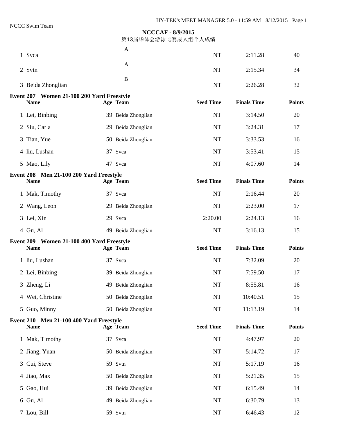| 1 Svca                                                   | A                  | <b>NT</b>        | 2:11.28            | 40            |
|----------------------------------------------------------|--------------------|------------------|--------------------|---------------|
| 2 Svtn                                                   | A                  | <b>NT</b>        | 2:15.34            | 34            |
| 3 Beida Zhonglian                                        | B                  | <b>NT</b>        | 2:26.28            | 32            |
|                                                          |                    |                  |                    |               |
| Event 207 Women 21-100 200 Yard Freestyle<br><b>Name</b> | Age Team           | <b>Seed Time</b> | <b>Finals Time</b> | <b>Points</b> |
| 1 Lei, Binbing                                           | 39 Beida Zhonglian | <b>NT</b>        | 3:14.50            | 20            |
| 2 Siu, Carla                                             | 29 Beida Zhonglian | <b>NT</b>        | 3:24.31            | 17            |
| 3 Tian, Yue                                              | 50 Beida Zhonglian | <b>NT</b>        | 3:33.53            | 16            |
| 4 liu, Lushan                                            | 37 Svca            | <b>NT</b>        | 3:53.41            | 15            |
| 5 Mao, Lily                                              | 47 Svca            | NT               | 4:07.60            | 14            |
| Event 208 Men 21-100 200 Yard Freestyle<br><b>Name</b>   | Age Team           | <b>Seed Time</b> | <b>Finals Time</b> | <b>Points</b> |
| 1 Mak, Timothy                                           | 37 Svca            | <b>NT</b>        | 2:16.44            | 20            |
| 2 Wang, Leon                                             | 29 Beida Zhonglian | <b>NT</b>        | 2:23.00            | 17            |
| 3 Lei, Xin                                               | 29 Svca            | 2:20.00          | 2:24.13            | 16            |
| 4 Gu, Al                                                 | 49 Beida Zhonglian | <b>NT</b>        | 3:16.13            | 15            |
| Event 209 Women 21-100 400 Yard Freestyle                |                    |                  |                    |               |
| <b>Name</b>                                              | Age Team           | <b>Seed Time</b> | <b>Finals Time</b> | <b>Points</b> |
| 1 liu, Lushan                                            | 37 Svca            | <b>NT</b>        | 7:32.09            | 20            |
| 2 Lei, Binbing                                           | 39 Beida Zhonglian | <b>NT</b>        | 7:59.50            | 17            |
| 3 Zheng, Li                                              | 49 Beida Zhonglian | NT               | 8:55.81            | 16            |
| 4 Wei, Christine                                         | 50 Beida Zhonglian | $\rm{NT}$        | 10:40.51           | 15            |
| 5 Guo, Minny                                             | 50 Beida Zhonglian | $\rm{NT}$        | 11:13.19           | 14            |
| Event 210 Men 21-100 400 Yard Freestyle<br><b>Name</b>   | Age Team           | <b>Seed Time</b> | <b>Finals Time</b> | <b>Points</b> |
| 1 Mak, Timothy                                           | 37 Svca            | <b>NT</b>        | 4:47.97            | 20            |
| 2 Jiang, Yuan                                            | 50 Beida Zhonglian | NT               | 5:14.72            | 17            |
| 3 Cui, Steve                                             | 59 Svtn            | <b>NT</b>        | 5:17.19            | 16            |
| 4 Jiao, Max                                              | 50 Beida Zhonglian | NT               | 5:21.35            | 15            |
| 5 Gao, Hui                                               | 39 Beida Zhonglian | $\rm{NT}$        | 6:15.49            | 14            |
| 6 Gu, Al                                                 | 49 Beida Zhonglian | $\rm{NT}$        | 6:30.79            | 13            |
|                                                          |                    |                  |                    |               |
| 7 Lou, Bill                                              | 59 Svtn            | NT               | 6:46.43            | 12            |